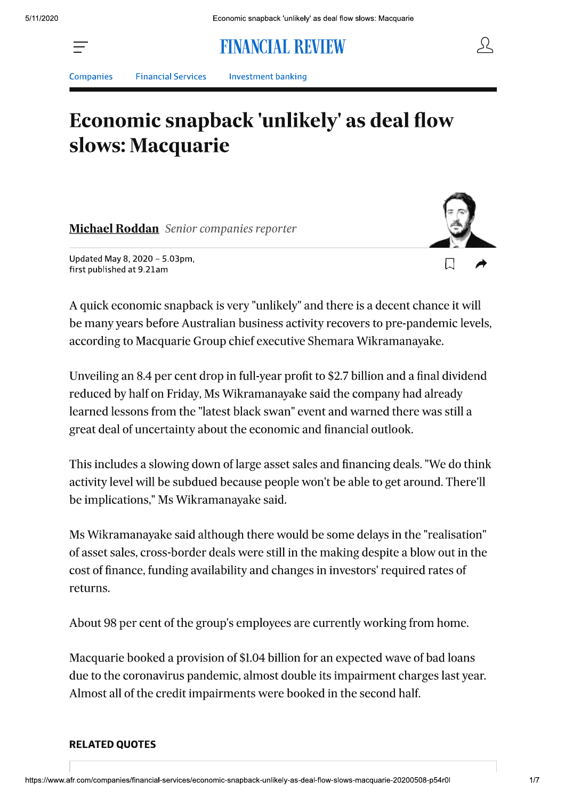# **FINANCIAL REVIEW**



**Companies** 

**Financial Services** 

**Investment banking** 

# Economic snapback 'unlikely' as deal flow slows: Macquarie

**Michael Roddan** Senior companies reporter



Updated May 8, 2020 - 5.03pm, first published at 9.21am

A quick economic snapback is very "unlikely" and there is a decent chance it will be many years before Australian business activity recovers to pre-pandemic levels, according to Macquarie Group chief executive Shemara Wikramanayake.

Unveiling an 8.4 per cent drop in full-year profit to \$2.7 billion and a final dividend reduced by half on Friday, Ms Wikramanayake said the company had already learned lessons from the "latest black swan" event and warned there was still a great deal of uncertainty about the economic and financial outlook.

This includes a slowing down of large asset sales and financing deals. "We do think activity level will be subdued because people won't be able to get around. There'll be implications," Ms Wikramanayake said.

Ms Wikramanayake said although there would be some delays in the "realisation" of asset sales, cross-border deals were still in the making despite a blow out in the cost of finance, funding availability and changes in investors' required rates of returns.

About 98 per cent of the group's employees are currently working from home.

Macquarie booked a provision of \$1.04 billion for an expected wave of bad loans due to the coronavirus pandemic, almost double its impairment charges last year. Almost all of the credit impairments were booked in the second half.

#### **RELATED QUOTES**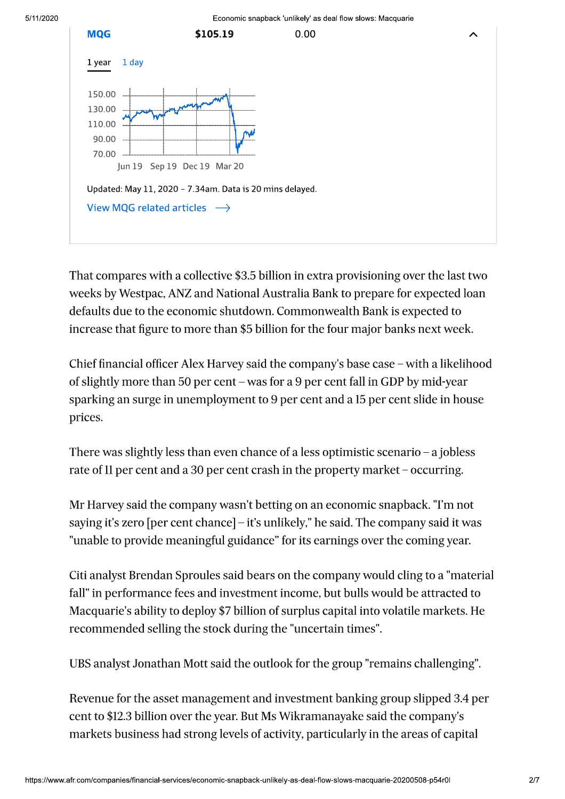

That compares with a collective \$3.5 billion in extra provisioning over the last two weeks by Westpac, ANZ and National Australia Bank to prepare for expected loan defaults due to the economic shutdown. Commonwealth Bank is expected to increase that figure to more than \$5 billion for the four major banks next week.

Chief financial officer Alex Harvey said the company's base case – with a likelihood of slightly more than 50 per cent – was for a 9 per cent fall in GDP by mid-year sparking an surge in unemployment to 9 per cent and a 15 per cent slide in house prices.

There was slightly less than even chance of a less optimistic scenario – a jobless rate of 11 per cent and a 30 per cent crash in the property market – occurring.

Mr Harvey said the company wasn't betting on an economic snapback. "I'm not saying it's zero [per cent chance] – it's unlikely," he said. The company said it was "unable to provide meaningful guidance" for its earnings over the coming year.

Citi analyst Brendan Sproules said bears on the company would cling to a "material" fall" in performance fees and investment income, but bulls would be attracted to Macquarie's ability to deploy \$7 billion of surplus capital into volatile markets. He recommended selling the stock during the "uncertain times".

UBS analyst Jonathan Mott said the outlook for the group "remains challenging".

Revenue for the asset management and investment banking group slipped 3.4 per cent to \$12.3 billion over the year. But Ms Wikramanayake said the company's markets business had strong levels of activity, particularly in the areas of capital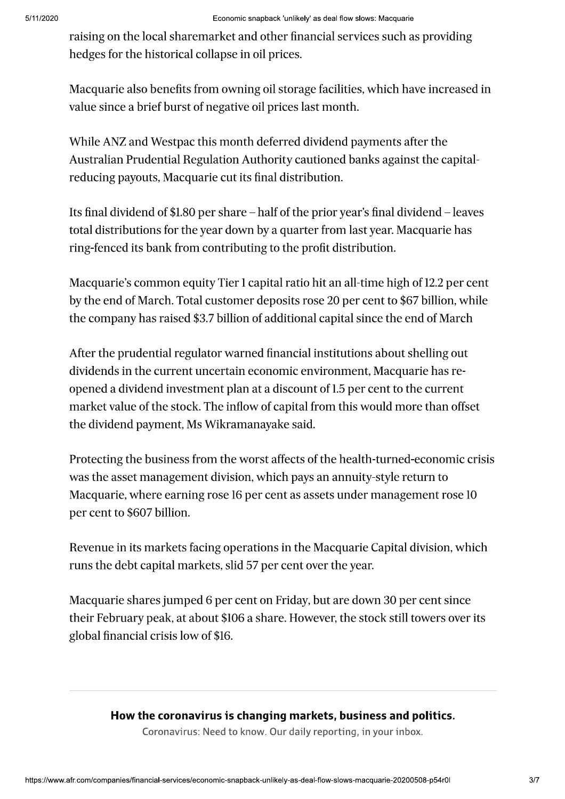raising on the local sharemarket and other financial services such as providing hedges for the historical collapse in oil prices.

Macquarie also benefits from owning oil storage facilities, which have increased in value since a brief burst of negative oil prices last month.

While ANZ and Westpac this month deferred dividend payments after the Australian Prudential Regulation Authority cautioned banks against the capitalreducing payouts, Macquarie cut its final distribution.

Its final dividend of \$1.80 per share  $-$  half of the prior year's final dividend  $-$  leaves total distributions for the year down by a quarter from last year. Macquarie has ring-fenced its bank from contributing to the profit distribution.

Macquarie's common equity Tier 1 capital ratio hit an all-time high of 12.2 per cent by the end of March. Total customer deposits rose 20 per cent to \$67 billion, while the company has raised \$3.7 billion of additional capital since the end of March

After the prudential regulator warned financial institutions about shelling out dividends in the current uncertain economic environment, Macquarie has reopened a dividend investment plan at a discount of 1.5 per cent to the current market value of the stock. The inflow of capital from this would more than offset the dividend payment, Ms Wikramanayake said.

Protecting the business from the worst affects of the health-turned-economic crisis was the asset management division, which pays an annuity-style return to Macquarie, where earning rose 16 per cent as assets under management rose 10 per cent to \$607 billion.

Revenue in its markets facing operations in the Macquarie Capital division, which runs the debt capital markets, slid 57 per cent over the year.

Macquarie shares jumped 6 per cent on Friday, but are down 30 per cent since their February peak, at about \$106 a share. However, the stock still towers over its global financial crisis low of \$16.

## How the coronavirus is changing markets, business and politics.

Coronavirus: Need to know. Our daily reporting, in your inbox.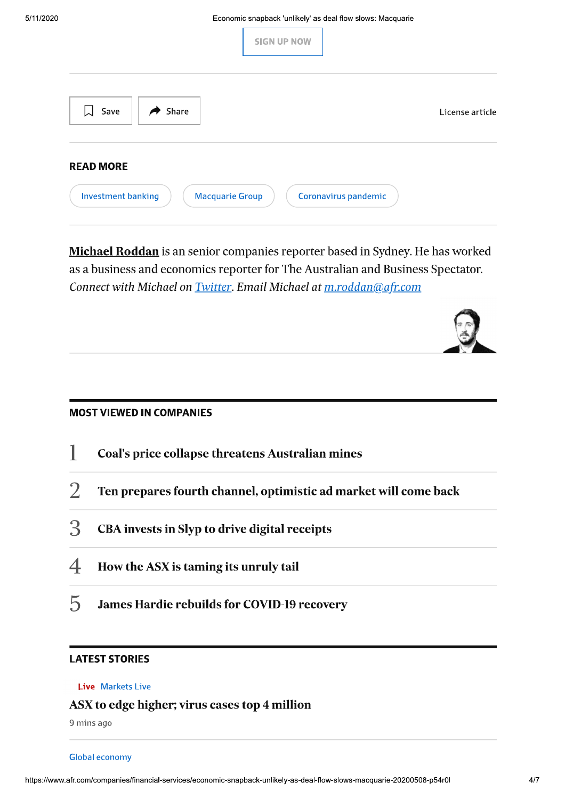| <b>SIGN UP NOW</b>                                                                       |                 |
|------------------------------------------------------------------------------------------|-----------------|
| $\rightarrow$ Share<br><b>↓</b> Save                                                     | License article |
| <b>READ MORE</b><br>Investment banking<br><b>Macquarie Group</b><br>Coronavirus pandemic |                 |

Michael Roddan is an senior companies reporter based in Sydney. He has worked as a business and economics reporter for The Australian and Business Spectator. Connect with Michael on *Twitter*. Email Michael at *m.roddan@afr.com* 

### **MOST VIEWED IN COMPANIES**

- 1 **Coal's price collapse threatens Australian mines**
- $\overline{2}$ Ten prepares fourth channel, optimistic ad market will come back
- 3 CBA invests in Slyp to drive digital receipts
- $\overline{\mathcal{A}}$ How the ASX is taming its unruly tail
- $\overline{5}$ **James Hardie rebuilds for COVID-19 recovery**

### **LATEST STORIES**

#### Live Markets Live

### ASX to edge higher; virus cases top 4 million

9 mins ago

#### **Global economy**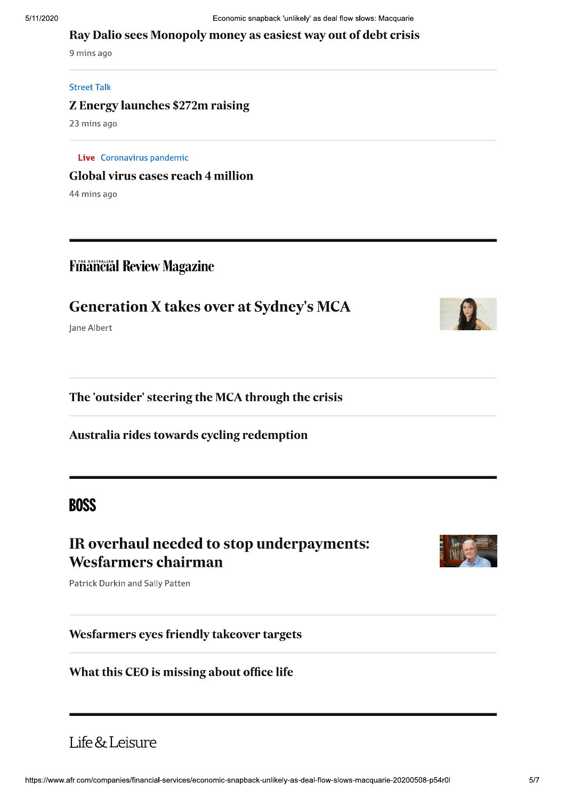#### Ray Dalio sees Monopoly money as easiest way out of debt crisis

9 mins ago

#### **Street Talk**

#### **Z Energy launches \$272m raising**

23 mins ago

Live Coronavirus pandemic **Global virus cases reach 4 million** 

44 mins ago

# **Financial Review Magazine**

# **Generation X takes over at Sydney's MCA**

Jane Albert

The 'outsider' steering the MCA through the crisis

Australia rides towards cycling redemption

# **BOSS**

# IR overhaul needed to stop underpayments: **Wesfarmers chairman**

Patrick Durkin and Sally Patten

#### Wesfarmers eyes friendly takeover targets

### What this CEO is missing about office life

# Life & Leisure



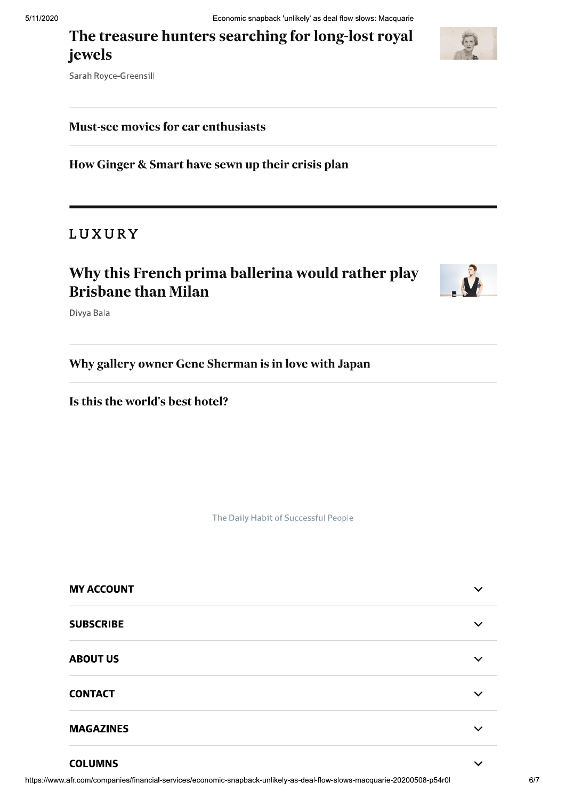# The treasure hunters searching for long-lost royal jewels



Sarah Royce-Greensill

## **Must-see movies for car enthusiasts**

How Ginger & Smart have sewn up their crisis plan

# LUXURY

# Why this French prima ballerina would rather play **Brisbane than Milan**



Divya Bala

Why gallery owner Gene Sherman is in love with Japan

Is this the world's best hotel?

The Daily Habit of Successful People

| <b>MY ACCOUNT</b> | $\checkmark$ |
|-------------------|--------------|
| <b>SUBSCRIBE</b>  |              |
| <b>ABOUT US</b>   |              |
| <b>CONTACT</b>    | $\checkmark$ |
| <b>MAGAZINES</b>  |              |
|                   |              |

#### **COLUMNS**